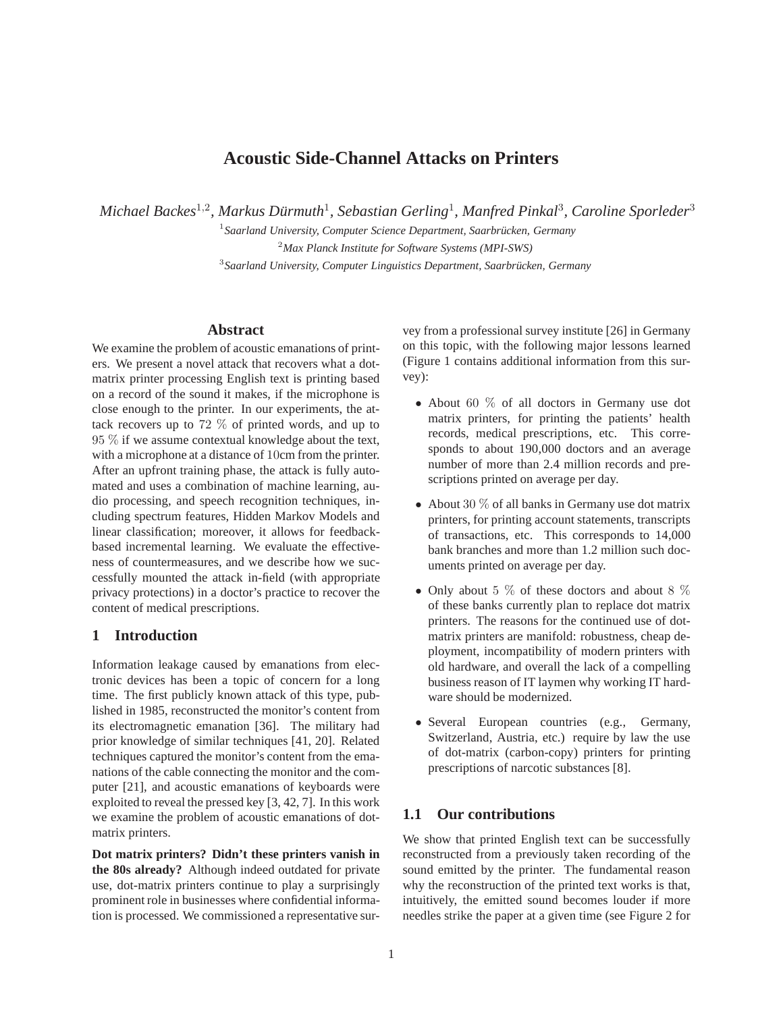# **Acoustic Side-Channel Attacks on Printers**

*Michael Backes*<sup>1</sup>,<sup>2</sup> *, Markus Durmuth ¨* 1 *, Sebastian Gerling*<sup>1</sup> *, Manfred Pinkal*<sup>3</sup> *, Caroline Sporleder*<sup>3</sup>

<sup>1</sup> Saarland University, Computer Science Department, Saarbrücken, Germany <sup>2</sup>*Max Planck Institute for Software Systems (MPI-SWS)*

<sup>3</sup> Saarland University, Computer Linguistics Department, Saarbrücken, Germany

## **Abstract**

We examine the problem of acoustic emanations of printers. We present a novel attack that recovers what a dotmatrix printer processing English text is printing based on a record of the sound it makes, if the microphone is close enough to the printer. In our experiments, the attack recovers up to 72 % of printed words, and up to 95 % if we assume contextual knowledge about the text, with a microphone at a distance of 10cm from the printer. After an upfront training phase, the attack is fully automated and uses a combination of machine learning, audio processing, and speech recognition techniques, including spectrum features, Hidden Markov Models and linear classification; moreover, it allows for feedbackbased incremental learning. We evaluate the effectiveness of countermeasures, and we describe how we successfully mounted the attack in-field (with appropriate privacy protections) in a doctor's practice to recover the content of medical prescriptions.

## **1 Introduction**

Information leakage caused by emanations from electronic devices has been a topic of concern for a long time. The first publicly known attack of this type, published in 1985, reconstructed the monitor's content from its electromagnetic emanation [36]. The military had prior knowledge of similar techniques [41, 20]. Related techniques captured the monitor's content from the emanations of the cable connecting the monitor and the computer [21], and acoustic emanations of keyboards were exploited to reveal the pressed key [3, 42, 7]. In this work we examine the problem of acoustic emanations of dotmatrix printers.

**Dot matrix printers? Didn't these printers vanish in the 80s already?** Although indeed outdated for private use, dot-matrix printers continue to play a surprisingly prominent role in businesses where confidential information is processed. We commissioned a representative survey from a professional survey institute [26] in Germany on this topic, with the following major lessons learned (Figure 1 contains additional information from this survey):

- About 60  $\%$  of all doctors in Germany use dot matrix printers, for printing the patients' health records, medical prescriptions, etc. This corresponds to about 190,000 doctors and an average number of more than 2.4 million records and prescriptions printed on average per day.
- About 30  $%$  of all banks in Germany use dot matrix printers, for printing account statements, transcripts of transactions, etc. This corresponds to 14,000 bank branches and more than 1.2 million such documents printed on average per day.
- Only about 5  $\%$  of these doctors and about 8  $\%$ of these banks currently plan to replace dot matrix printers. The reasons for the continued use of dotmatrix printers are manifold: robustness, cheap deployment, incompatibility of modern printers with old hardware, and overall the lack of a compelling business reason of IT laymen why working IT hardware should be modernized.
- Several European countries (e.g., Germany, Switzerland, Austria, etc.) require by law the use of dot-matrix (carbon-copy) printers for printing prescriptions of narcotic substances [8].

## **1.1 Our contributions**

We show that printed English text can be successfully reconstructed from a previously taken recording of the sound emitted by the printer. The fundamental reason why the reconstruction of the printed text works is that, intuitively, the emitted sound becomes louder if more needles strike the paper at a given time (see Figure 2 for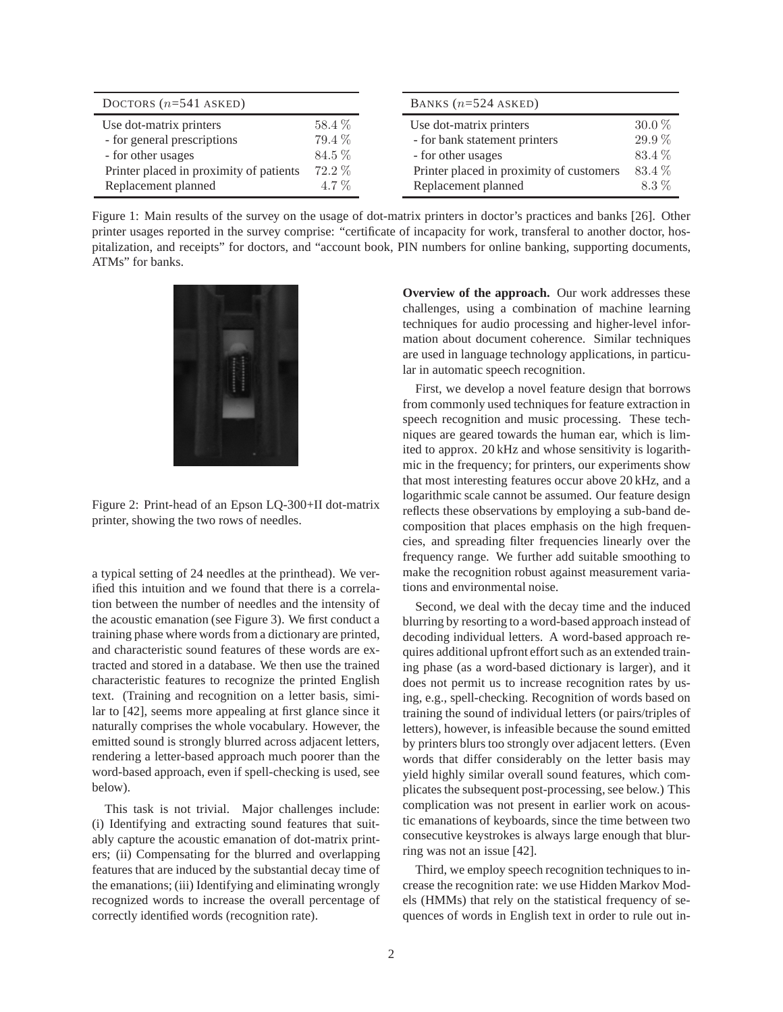| DOCTORS $(n=541$ ASKED)                 |         | BANKS $(n=524$ ASKED)                    |          |  |  |
|-----------------------------------------|---------|------------------------------------------|----------|--|--|
| Use dot-matrix printers                 | 58.4 %  | Use dot-matrix printers                  | $30.0\%$ |  |  |
| - for general prescriptions             | 79.4 %  | - for bank statement printers            | 29.9%    |  |  |
| - for other usages                      | 84.5 %  | - for other usages                       | 83.4%    |  |  |
| Printer placed in proximity of patients | 72.2 %  | Printer placed in proximity of customers | 83.4 %   |  |  |
| Replacement planned                     | $4.7\%$ | Replacement planned                      | $8.3\%$  |  |  |

Figure 1: Main results of the survey on the usage of dot-matrix printers in doctor's practices and banks [26]. Other printer usages reported in the survey comprise: "certificate of incapacity for work, transferal to another doctor, hospitalization, and receipts" for doctors, and "account book, PIN numbers for online banking, supporting documents, ATMs" for banks.



Figure 2: Print-head of an Epson LQ-300+II dot-matrix printer, showing the two rows of needles.

a typical setting of 24 needles at the printhead). We verified this intuition and we found that there is a correlation between the number of needles and the intensity of the acoustic emanation (see Figure 3). We first conduct a training phase where words from a dictionary are printed, and characteristic sound features of these words are extracted and stored in a database. We then use the trained characteristic features to recognize the printed English text. (Training and recognition on a letter basis, similar to [42], seems more appealing at first glance since it naturally comprises the whole vocabulary. However, the emitted sound is strongly blurred across adjacent letters, rendering a letter-based approach much poorer than the word-based approach, even if spell-checking is used, see below).

This task is not trivial. Major challenges include: (i) Identifying and extracting sound features that suitably capture the acoustic emanation of dot-matrix printers; (ii) Compensating for the blurred and overlapping features that are induced by the substantial decay time of the emanations; (iii) Identifying and eliminating wrongly recognized words to increase the overall percentage of correctly identified words (recognition rate).

**Overview of the approach.** Our work addresses these challenges, using a combination of machine learning techniques for audio processing and higher-level information about document coherence. Similar techniques are used in language technology applications, in particular in automatic speech recognition.

First, we develop a novel feature design that borrows from commonly used techniques for feature extraction in speech recognition and music processing. These techniques are geared towards the human ear, which is limited to approx. 20 kHz and whose sensitivity is logarithmic in the frequency; for printers, our experiments show that most interesting features occur above 20 kHz, and a logarithmic scale cannot be assumed. Our feature design reflects these observations by employing a sub-band decomposition that places emphasis on the high frequencies, and spreading filter frequencies linearly over the frequency range. We further add suitable smoothing to make the recognition robust against measurement variations and environmental noise.

Second, we deal with the decay time and the induced blurring by resorting to a word-based approach instead of decoding individual letters. A word-based approach requires additional upfront effort such as an extended training phase (as a word-based dictionary is larger), and it does not permit us to increase recognition rates by using, e.g., spell-checking. Recognition of words based on training the sound of individual letters (or pairs/triples of letters), however, is infeasible because the sound emitted by printers blurs too strongly over adjacent letters. (Even words that differ considerably on the letter basis may yield highly similar overall sound features, which complicates the subsequent post-processing, see below.) This complication was not present in earlier work on acoustic emanations of keyboards, since the time between two consecutive keystrokes is always large enough that blurring was not an issue [42].

Third, we employ speech recognition techniques to increase the recognition rate: we use Hidden Markov Models (HMMs) that rely on the statistical frequency of sequences of words in English text in order to rule out in-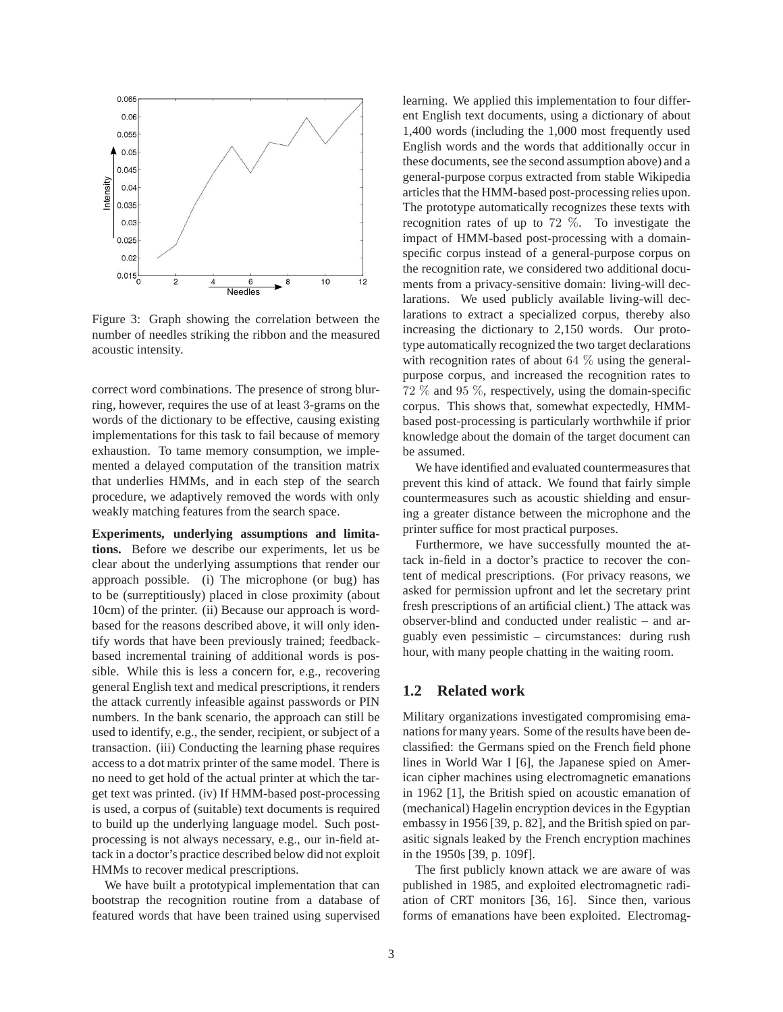

Figure 3: Graph showing the correlation between the number of needles striking the ribbon and the measured acoustic intensity.

correct word combinations. The presence of strong blurring, however, requires the use of at least 3-grams on the words of the dictionary to be effective, causing existing implementations for this task to fail because of memory exhaustion. To tame memory consumption, we implemented a delayed computation of the transition matrix that underlies HMMs, and in each step of the search procedure, we adaptively removed the words with only weakly matching features from the search space.

**Experiments, underlying assumptions and limitations.** Before we describe our experiments, let us be clear about the underlying assumptions that render our approach possible. (i) The microphone (or bug) has to be (surreptitiously) placed in close proximity (about 10cm) of the printer. (ii) Because our approach is wordbased for the reasons described above, it will only identify words that have been previously trained; feedbackbased incremental training of additional words is possible. While this is less a concern for, e.g., recovering general English text and medical prescriptions, it renders the attack currently infeasible against passwords or PIN numbers. In the bank scenario, the approach can still be used to identify, e.g., the sender, recipient, or subject of a transaction. (iii) Conducting the learning phase requires access to a dot matrix printer of the same model. There is no need to get hold of the actual printer at which the target text was printed. (iv) If HMM-based post-processing is used, a corpus of (suitable) text documents is required to build up the underlying language model. Such postprocessing is not always necessary, e.g., our in-field attack in a doctor's practice described below did not exploit HMMs to recover medical prescriptions.

We have built a prototypical implementation that can bootstrap the recognition routine from a database of featured words that have been trained using supervised learning. We applied this implementation to four different English text documents, using a dictionary of about 1,400 words (including the 1,000 most frequently used English words and the words that additionally occur in these documents, see the second assumption above) and a general-purpose corpus extracted from stable Wikipedia articles that the HMM-based post-processing relies upon. The prototype automatically recognizes these texts with recognition rates of up to 72 %. To investigate the impact of HMM-based post-processing with a domainspecific corpus instead of a general-purpose corpus on the recognition rate, we considered two additional documents from a privacy-sensitive domain: living-will declarations. We used publicly available living-will declarations to extract a specialized corpus, thereby also increasing the dictionary to 2,150 words. Our prototype automatically recognized the two target declarations with recognition rates of about  $64\%$  using the generalpurpose corpus, and increased the recognition rates to 72 % and 95 %, respectively, using the domain-specific corpus. This shows that, somewhat expectedly, HMMbased post-processing is particularly worthwhile if prior knowledge about the domain of the target document can be assumed.

We have identified and evaluated countermeasures that prevent this kind of attack. We found that fairly simple countermeasures such as acoustic shielding and ensuring a greater distance between the microphone and the printer suffice for most practical purposes.

Furthermore, we have successfully mounted the attack in-field in a doctor's practice to recover the content of medical prescriptions. (For privacy reasons, we asked for permission upfront and let the secretary print fresh prescriptions of an artificial client.) The attack was observer-blind and conducted under realistic – and arguably even pessimistic – circumstances: during rush hour, with many people chatting in the waiting room.

### **1.2 Related work**

Military organizations investigated compromising emanations for many years. Some of the results have been declassified: the Germans spied on the French field phone lines in World War I [6], the Japanese spied on American cipher machines using electromagnetic emanations in 1962 [1], the British spied on acoustic emanation of (mechanical) Hagelin encryption devices in the Egyptian embassy in 1956 [39, p. 82], and the British spied on parasitic signals leaked by the French encryption machines in the 1950s [39, p. 109f].

The first publicly known attack we are aware of was published in 1985, and exploited electromagnetic radiation of CRT monitors [36, 16]. Since then, various forms of emanations have been exploited. Electromag-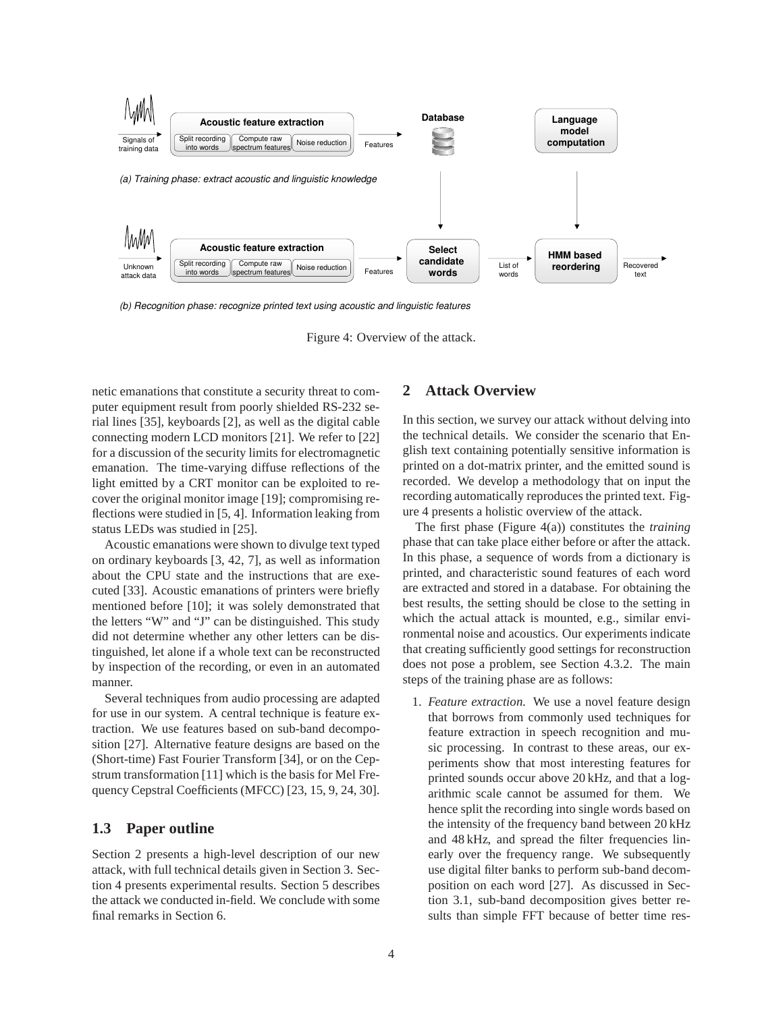

*(b) Recognition phase: recognize printed text using acoustic and linguistic features*

netic emanations that constitute a security threat to computer equipment result from poorly shielded RS-232 serial lines [35], keyboards [2], as well as the digital cable connecting modern LCD monitors [21]. We refer to [22] for a discussion of the security limits for electromagnetic emanation. The time-varying diffuse reflections of the light emitted by a CRT monitor can be exploited to recover the original monitor image [19]; compromising reflections were studied in [5, 4]. Information leaking from status LEDs was studied in [25].

Acoustic emanations were shown to divulge text typed on ordinary keyboards [3, 42, 7], as well as information about the CPU state and the instructions that are executed [33]. Acoustic emanations of printers were briefly mentioned before [10]; it was solely demonstrated that the letters "W" and "J" can be distinguished. This study did not determine whether any other letters can be distinguished, let alone if a whole text can be reconstructed by inspection of the recording, or even in an automated manner.

Several techniques from audio processing are adapted for use in our system. A central technique is feature extraction. We use features based on sub-band decomposition [27]. Alternative feature designs are based on the (Short-time) Fast Fourier Transform [34], or on the Cepstrum transformation [11] which is the basis for Mel Frequency Cepstral Coefficients (MFCC) [23, 15, 9, 24, 30].

### **1.3 Paper outline**

Section 2 presents a high-level description of our new attack, with full technical details given in Section 3. Section 4 presents experimental results. Section 5 describes the attack we conducted in-field. We conclude with some final remarks in Section 6.

### **2 Attack Overview**

In this section, we survey our attack without delving into the technical details. We consider the scenario that English text containing potentially sensitive information is printed on a dot-matrix printer, and the emitted sound is recorded. We develop a methodology that on input the recording automatically reproduces the printed text. Figure 4 presents a holistic overview of the attack.

The first phase (Figure 4(a)) constitutes the *training* phase that can take place either before or after the attack. In this phase, a sequence of words from a dictionary is printed, and characteristic sound features of each word are extracted and stored in a database. For obtaining the best results, the setting should be close to the setting in which the actual attack is mounted, e.g., similar environmental noise and acoustics. Our experiments indicate that creating sufficiently good settings for reconstruction does not pose a problem, see Section 4.3.2. The main steps of the training phase are as follows:

1. *Feature extraction.* We use a novel feature design that borrows from commonly used techniques for feature extraction in speech recognition and music processing. In contrast to these areas, our experiments show that most interesting features for printed sounds occur above 20 kHz, and that a logarithmic scale cannot be assumed for them. We hence split the recording into single words based on the intensity of the frequency band between 20 kHz and 48 kHz, and spread the filter frequencies linearly over the frequency range. We subsequently use digital filter banks to perform sub-band decomposition on each word [27]. As discussed in Section 3.1, sub-band decomposition gives better results than simple FFT because of better time res-

Figure 4: Overview of the attack.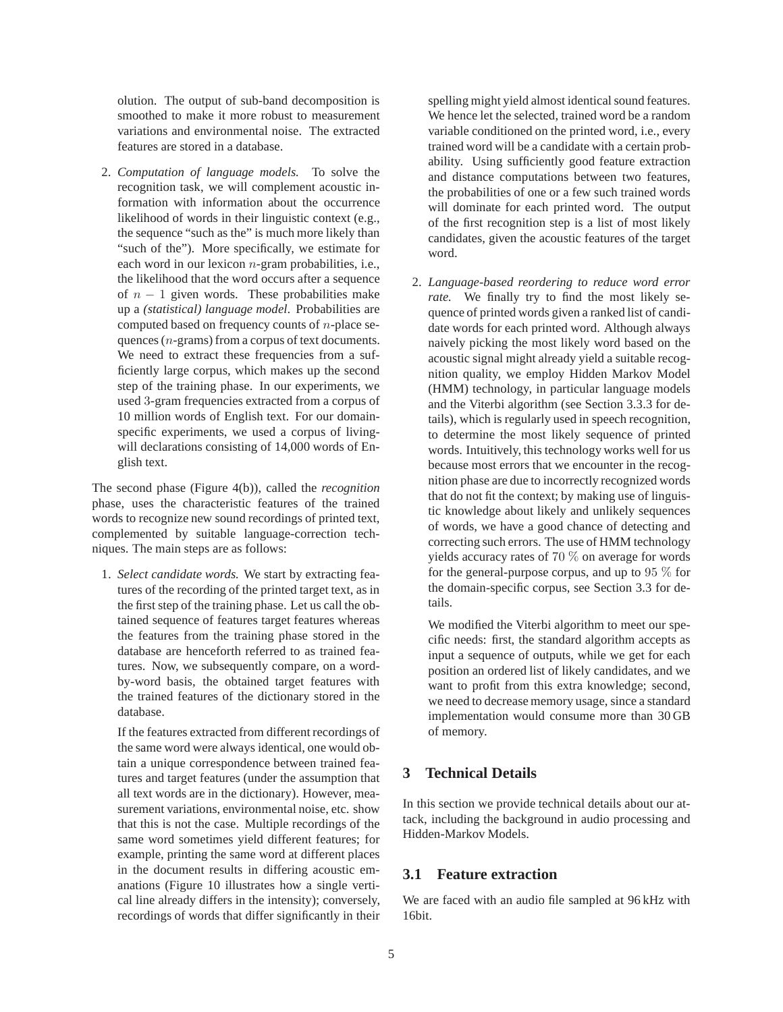olution. The output of sub-band decomposition is smoothed to make it more robust to measurement variations and environmental noise. The extracted features are stored in a database.

2. *Computation of language models.* To solve the recognition task, we will complement acoustic information with information about the occurrence likelihood of words in their linguistic context (e.g., the sequence "such as the" is much more likely than "such of the"). More specifically, we estimate for each word in our lexicon  $n$ -gram probabilities, i.e., the likelihood that the word occurs after a sequence of  $n - 1$  given words. These probabilities make up a *(statistical) language model*. Probabilities are computed based on frequency counts of  $n$ -place sequences (n-grams) from a corpus of text documents. We need to extract these frequencies from a sufficiently large corpus, which makes up the second step of the training phase. In our experiments, we used 3-gram frequencies extracted from a corpus of 10 million words of English text. For our domainspecific experiments, we used a corpus of livingwill declarations consisting of 14,000 words of English text.

The second phase (Figure 4(b)), called the *recognition* phase, uses the characteristic features of the trained words to recognize new sound recordings of printed text, complemented by suitable language-correction techniques. The main steps are as follows:

1. *Select candidate words.* We start by extracting features of the recording of the printed target text, as in the first step of the training phase. Let us call the obtained sequence of features target features whereas the features from the training phase stored in the database are henceforth referred to as trained features. Now, we subsequently compare, on a wordby-word basis, the obtained target features with the trained features of the dictionary stored in the database.

If the features extracted from different recordings of the same word were always identical, one would obtain a unique correspondence between trained features and target features (under the assumption that all text words are in the dictionary). However, measurement variations, environmental noise, etc. show that this is not the case. Multiple recordings of the same word sometimes yield different features; for example, printing the same word at different places in the document results in differing acoustic emanations (Figure 10 illustrates how a single vertical line already differs in the intensity); conversely, recordings of words that differ significantly in their

spelling might yield almost identical sound features. We hence let the selected, trained word be a random variable conditioned on the printed word, i.e., every trained word will be a candidate with a certain probability. Using sufficiently good feature extraction and distance computations between two features, the probabilities of one or a few such trained words will dominate for each printed word. The output of the first recognition step is a list of most likely candidates, given the acoustic features of the target word.

2. *Language-based reordering to reduce word error rate.* We finally try to find the most likely sequence of printed words given a ranked list of candidate words for each printed word. Although always naively picking the most likely word based on the acoustic signal might already yield a suitable recognition quality, we employ Hidden Markov Model (HMM) technology, in particular language models and the Viterbi algorithm (see Section 3.3.3 for details), which is regularly used in speech recognition, to determine the most likely sequence of printed words. Intuitively, this technology works well for us because most errors that we encounter in the recognition phase are due to incorrectly recognized words that do not fit the context; by making use of linguistic knowledge about likely and unlikely sequences of words, we have a good chance of detecting and correcting such errors. The use of HMM technology yields accuracy rates of 70 % on average for words for the general-purpose corpus, and up to 95 % for the domain-specific corpus, see Section 3.3 for details.

We modified the Viterbi algorithm to meet our specific needs: first, the standard algorithm accepts as input a sequence of outputs, while we get for each position an ordered list of likely candidates, and we want to profit from this extra knowledge; second, we need to decrease memory usage, since a standard implementation would consume more than 30 GB of memory.

# **3 Technical Details**

In this section we provide technical details about our attack, including the background in audio processing and Hidden-Markov Models.

### **3.1 Feature extraction**

We are faced with an audio file sampled at 96 kHz with 16bit.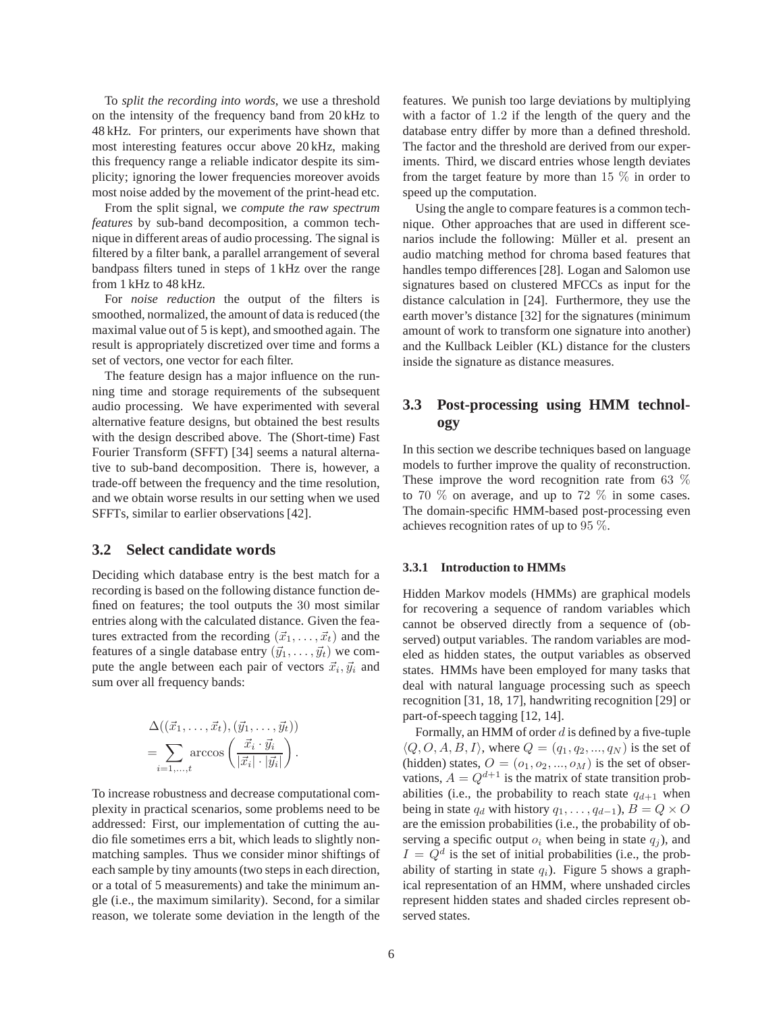To *split the recording into words*, we use a threshold on the intensity of the frequency band from 20 kHz to 48 kHz. For printers, our experiments have shown that most interesting features occur above 20 kHz, making this frequency range a reliable indicator despite its simplicity; ignoring the lower frequencies moreover avoids most noise added by the movement of the print-head etc.

From the split signal, we *compute the raw spectrum features* by sub-band decomposition, a common technique in different areas of audio processing. The signal is filtered by a filter bank, a parallel arrangement of several bandpass filters tuned in steps of 1 kHz over the range from 1 kHz to 48 kHz.

For *noise reduction* the output of the filters is smoothed, normalized, the amount of data is reduced (the maximal value out of 5 is kept), and smoothed again. The result is appropriately discretized over time and forms a set of vectors, one vector for each filter.

The feature design has a major influence on the running time and storage requirements of the subsequent audio processing. We have experimented with several alternative feature designs, but obtained the best results with the design described above. The (Short-time) Fast Fourier Transform (SFFT) [34] seems a natural alternative to sub-band decomposition. There is, however, a trade-off between the frequency and the time resolution, and we obtain worse results in our setting when we used SFFTs, similar to earlier observations [42].

### **3.2 Select candidate words**

Deciding which database entry is the best match for a recording is based on the following distance function defined on features; the tool outputs the 30 most similar entries along with the calculated distance. Given the features extracted from the recording  $(\vec{x}_1, \ldots, \vec{x}_t)$  and the features of a single database entry  $(\vec{y}_1, \dots, \vec{y}_t)$  we compute the angle between each pair of vectors  $\vec{x}_i, \vec{y}_i$  and sum over all frequency bands:

$$
\Delta((\vec{x}_1,\ldots,\vec{x}_t),(\vec{y}_1,\ldots,\vec{y}_t))
$$
  
= 
$$
\sum_{i=1,\ldots,t} \arccos\left(\frac{\vec{x}_i \cdot \vec{y}_i}{|\vec{x}_i| \cdot |\vec{y}_i|}\right).
$$

To increase robustness and decrease computational complexity in practical scenarios, some problems need to be addressed: First, our implementation of cutting the audio file sometimes errs a bit, which leads to slightly nonmatching samples. Thus we consider minor shiftings of each sample by tiny amounts (two steps in each direction, or a total of 5 measurements) and take the minimum angle (i.e., the maximum similarity). Second, for a similar reason, we tolerate some deviation in the length of the features. We punish too large deviations by multiplying with a factor of 1.2 if the length of the query and the database entry differ by more than a defined threshold. The factor and the threshold are derived from our experiments. Third, we discard entries whose length deviates from the target feature by more than  $15\%$  in order to speed up the computation.

Using the angle to compare features is a common technique. Other approaches that are used in different scenarios include the following: Müller et al. present an audio matching method for chroma based features that handles tempo differences [28]. Logan and Salomon use signatures based on clustered MFCCs as input for the distance calculation in [24]. Furthermore, they use the earth mover's distance [32] for the signatures (minimum amount of work to transform one signature into another) and the Kullback Leibler (KL) distance for the clusters inside the signature as distance measures.

## **3.3 Post-processing using HMM technology**

In this section we describe techniques based on language models to further improve the quality of reconstruction. These improve the word recognition rate from 63 % to 70  $\%$  on average, and up to 72  $\%$  in some cases. The domain-specific HMM-based post-processing even achieves recognition rates of up to 95 %.

#### **3.3.1 Introduction to HMMs**

Hidden Markov models (HMMs) are graphical models for recovering a sequence of random variables which cannot be observed directly from a sequence of (observed) output variables. The random variables are modeled as hidden states, the output variables as observed states. HMMs have been employed for many tasks that deal with natural language processing such as speech recognition [31, 18, 17], handwriting recognition [29] or part-of-speech tagging [12, 14].

Formally, an HMM of order  $d$  is defined by a five-tuple  $\langle Q, O, A, B, I \rangle$ , where  $Q = (q_1, q_2, ..., q_N)$  is the set of (hidden) states,  $O = (o_1, o_2, ..., o_M)$  is the set of observations,  $A = Q^{d+1}$  is the matrix of state transition probabilities (i.e., the probability to reach state  $q_{d+1}$  when being in state  $q_d$  with history  $q_1, \ldots, q_{d-1}$ ,  $B = Q \times O$ are the emission probabilities (i.e., the probability of observing a specific output  $o_i$  when being in state  $q_i$ ), and  $I = Q<sup>d</sup>$  is the set of initial probabilities (i.e., the probability of starting in state  $q_i$ ). Figure 5 shows a graphical representation of an HMM, where unshaded circles represent hidden states and shaded circles represent observed states.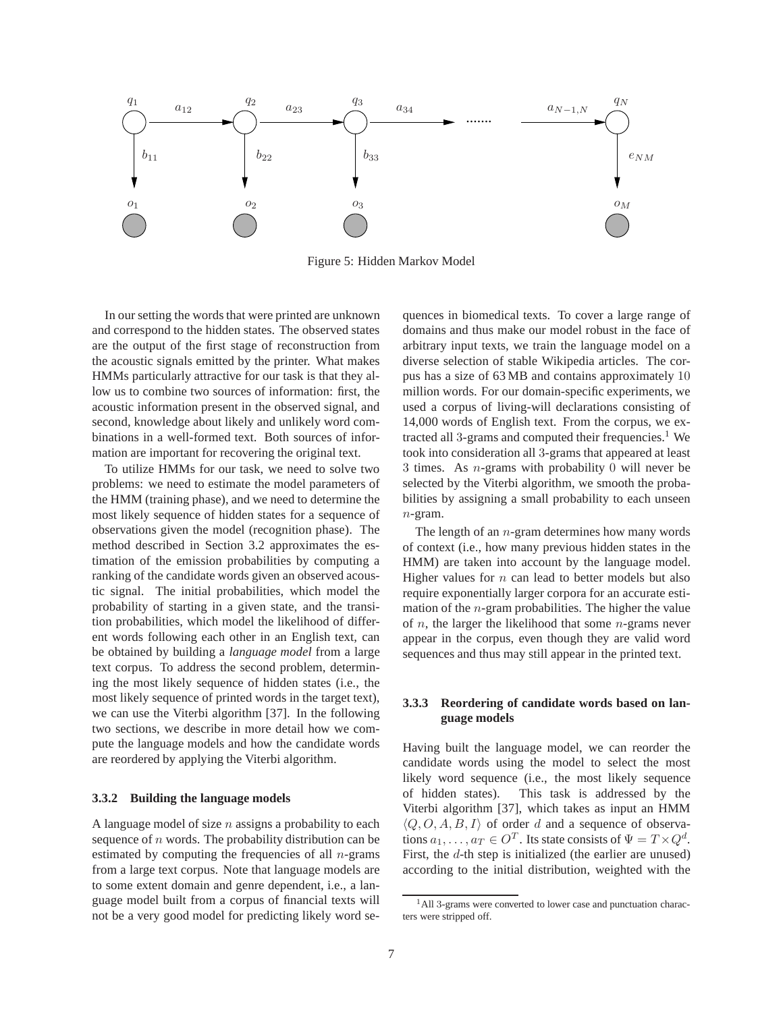

Figure 5: Hidden Markov Model

In our setting the words that were printed are unknown and correspond to the hidden states. The observed states are the output of the first stage of reconstruction from the acoustic signals emitted by the printer. What makes HMMs particularly attractive for our task is that they allow us to combine two sources of information: first, the acoustic information present in the observed signal, and second, knowledge about likely and unlikely word combinations in a well-formed text. Both sources of information are important for recovering the original text.

To utilize HMMs for our task, we need to solve two problems: we need to estimate the model parameters of the HMM (training phase), and we need to determine the most likely sequence of hidden states for a sequence of observations given the model (recognition phase). The method described in Section 3.2 approximates the estimation of the emission probabilities by computing a ranking of the candidate words given an observed acoustic signal. The initial probabilities, which model the probability of starting in a given state, and the transition probabilities, which model the likelihood of different words following each other in an English text, can be obtained by building a *language model* from a large text corpus. To address the second problem, determining the most likely sequence of hidden states (i.e., the most likely sequence of printed words in the target text), we can use the Viterbi algorithm [37]. In the following two sections, we describe in more detail how we compute the language models and how the candidate words are reordered by applying the Viterbi algorithm.

#### **3.3.2 Building the language models**

A language model of size  $n$  assigns a probability to each sequence of  $n$  words. The probability distribution can be estimated by computing the frequencies of all  $n$ -grams from a large text corpus. Note that language models are to some extent domain and genre dependent, i.e., a language model built from a corpus of financial texts will not be a very good model for predicting likely word sequences in biomedical texts. To cover a large range of domains and thus make our model robust in the face of arbitrary input texts, we train the language model on a diverse selection of stable Wikipedia articles. The corpus has a size of 63 MB and contains approximately 10 million words. For our domain-specific experiments, we used a corpus of living-will declarations consisting of 14,000 words of English text. From the corpus, we extracted all 3-grams and computed their frequencies.<sup>1</sup> We took into consideration all 3-grams that appeared at least 3 times. As n-grams with probability 0 will never be selected by the Viterbi algorithm, we smooth the probabilities by assigning a small probability to each unseen n-gram.

The length of an  $n$ -gram determines how many words of context (i.e., how many previous hidden states in the HMM) are taken into account by the language model. Higher values for  $n$  can lead to better models but also require exponentially larger corpora for an accurate estimation of the  $n$ -gram probabilities. The higher the value of  $n$ , the larger the likelihood that some  $n$ -grams never appear in the corpus, even though they are valid word sequences and thus may still appear in the printed text.

### **3.3.3 Reordering of candidate words based on language models**

Having built the language model, we can reorder the candidate words using the model to select the most likely word sequence (i.e., the most likely sequence of hidden states). This task is addressed by the Viterbi algorithm [37], which takes as input an HMM  $\langle Q, O, A, B, I \rangle$  of order d and a sequence of observations  $a_1, \ldots, a_T \in O^T$ . Its state consists of  $\Psi = T \times Q^d$ . First, the d-th step is initialized (the earlier are unused) according to the initial distribution, weighted with the

<sup>&</sup>lt;sup>1</sup>All 3-grams were converted to lower case and punctuation characters were stripped off.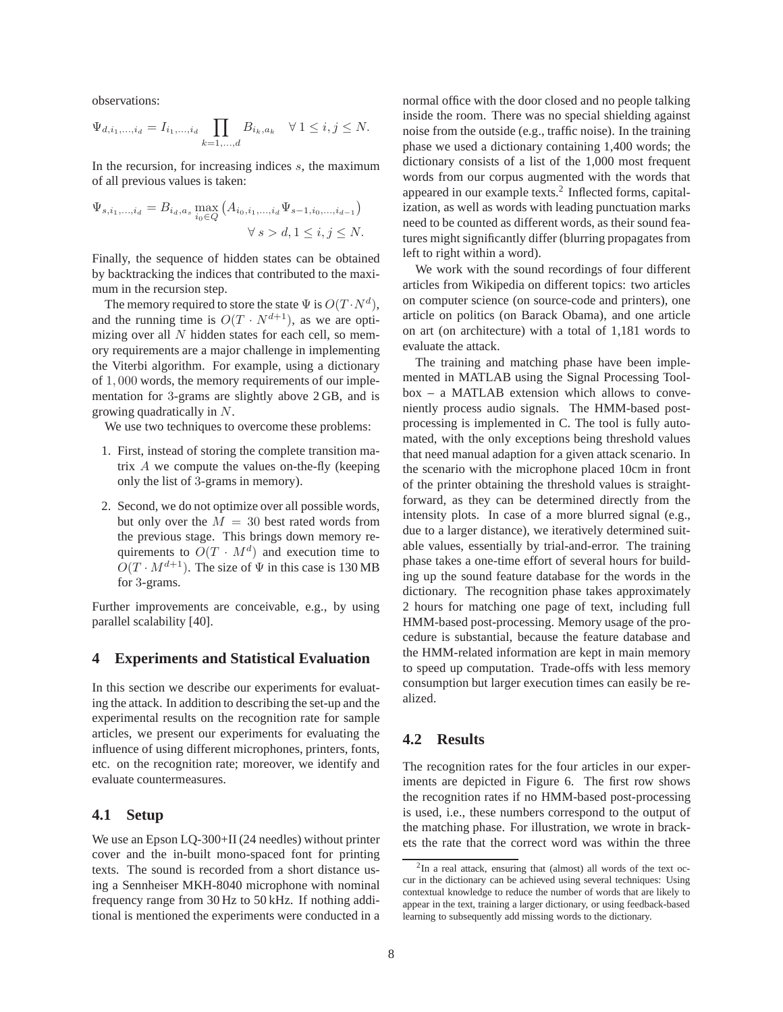observations:

$$
\Psi_{d,i_1,...,i_d} = I_{i_1,...,i_d} \prod_{k=1,...,d} B_{i_k,a_k} \quad \forall \ 1 \le i,j \le N.
$$

In the recursion, for increasing indices  $s$ , the maximum of all previous values is taken:

$$
\Psi_{s,i_1,...,i_d} = B_{i_d,a_s} \max_{i_0 \in Q} \left( A_{i_0,i_1,...,i_d} \Psi_{s-1,i_0,...,i_{d-1}} \right) \n\forall s > d, 1 \le i, j \le N.
$$

Finally, the sequence of hidden states can be obtained by backtracking the indices that contributed to the maximum in the recursion step.

The memory required to store the state  $\Psi$  is  $O(T \cdot N^d)$ , and the running time is  $O(T \cdot N^{d+1})$ , as we are optimizing over all  $N$  hidden states for each cell, so memory requirements are a major challenge in implementing the Viterbi algorithm. For example, using a dictionary of 1, 000 words, the memory requirements of our implementation for 3-grams are slightly above 2 GB, and is growing quadratically in N.

We use two techniques to overcome these problems:

- 1. First, instead of storing the complete transition matrix  $A$  we compute the values on-the-fly (keeping only the list of 3-grams in memory).
- 2. Second, we do not optimize over all possible words, but only over the  $M = 30$  best rated words from the previous stage. This brings down memory requirements to  $O(T \cdot M^d)$  and execution time to  $O(T \cdot M^{d+1})$ . The size of  $\Psi$  in this case is 130 MB for 3-grams.

Further improvements are conceivable, e.g., by using parallel scalability [40].

### **4 Experiments and Statistical Evaluation**

In this section we describe our experiments for evaluating the attack. In addition to describing the set-up and the experimental results on the recognition rate for sample articles, we present our experiments for evaluating the influence of using different microphones, printers, fonts, etc. on the recognition rate; moreover, we identify and evaluate countermeasures.

### **4.1 Setup**

We use an Epson LQ-300+II (24 needles) without printer cover and the in-built mono-spaced font for printing texts. The sound is recorded from a short distance using a Sennheiser MKH-8040 microphone with nominal frequency range from 30 Hz to 50 kHz. If nothing additional is mentioned the experiments were conducted in a normal office with the door closed and no people talking inside the room. There was no special shielding against noise from the outside (e.g., traffic noise). In the training phase we used a dictionary containing 1,400 words; the dictionary consists of a list of the 1,000 most frequent words from our corpus augmented with the words that appeared in our example texts.<sup>2</sup> Inflected forms, capitalization, as well as words with leading punctuation marks need to be counted as different words, as their sound features might significantly differ (blurring propagates from left to right within a word).

We work with the sound recordings of four different articles from Wikipedia on different topics: two articles on computer science (on source-code and printers), one article on politics (on Barack Obama), and one article on art (on architecture) with a total of 1,181 words to evaluate the attack.

The training and matching phase have been implemented in MATLAB using the Signal Processing Toolbox – a MATLAB extension which allows to conveniently process audio signals. The HMM-based postprocessing is implemented in C. The tool is fully automated, with the only exceptions being threshold values that need manual adaption for a given attack scenario. In the scenario with the microphone placed 10cm in front of the printer obtaining the threshold values is straightforward, as they can be determined directly from the intensity plots. In case of a more blurred signal (e.g., due to a larger distance), we iteratively determined suitable values, essentially by trial-and-error. The training phase takes a one-time effort of several hours for building up the sound feature database for the words in the dictionary. The recognition phase takes approximately 2 hours for matching one page of text, including full HMM-based post-processing. Memory usage of the procedure is substantial, because the feature database and the HMM-related information are kept in main memory to speed up computation. Trade-offs with less memory consumption but larger execution times can easily be realized.

### **4.2 Results**

The recognition rates for the four articles in our experiments are depicted in Figure 6. The first row shows the recognition rates if no HMM-based post-processing is used, i.e., these numbers correspond to the output of the matching phase. For illustration, we wrote in brackets the rate that the correct word was within the three

<sup>2</sup> In a real attack, ensuring that (almost) all words of the text occur in the dictionary can be achieved using several techniques: Using contextual knowledge to reduce the number of words that are likely to appear in the text, training a larger dictionary, or using feedback-based learning to subsequently add missing words to the dictionary.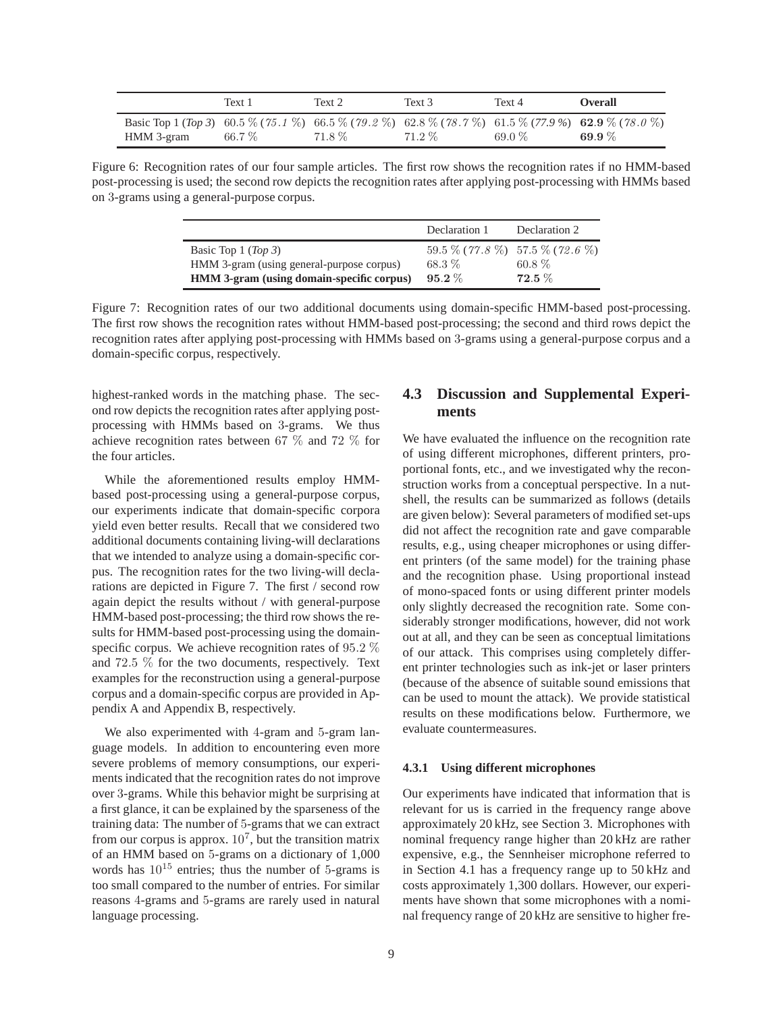|                                                                                                                   | Text 1 | Text 2 | Text 3 | Text 4 | <b>Overall</b> |
|-------------------------------------------------------------------------------------------------------------------|--------|--------|--------|--------|----------------|
| Basic Top 1 (Top 3) 60.5 % (75.1 %) 66.5 % (79.2 %) 62.8 % (78.7 %) 61.5 % (77.9 %) 62.9 % (78.0 %)<br>HMM 3-gram | 66.7%  | 71.8 % | 71.2 % | 69.0%  | 69.9 $%$       |

Figure 6: Recognition rates of our four sample articles. The first row shows the recognition rates if no HMM-based post-processing is used; the second row depicts the recognition rates after applying post-processing with HMMs based on 3-grams using a general-purpose corpus.

|                                                                                                               | Declaration 1     | Declaration 2                                               |
|---------------------------------------------------------------------------------------------------------------|-------------------|-------------------------------------------------------------|
| Basic Top 1 (Top 3)<br>HMM 3-gram (using general-purpose corpus)<br>HMM 3-gram (using domain-specific corpus) | 68.3%<br>$95.2\%$ | $59.5\%$ (77.8 %) $57.5\%$ (72.6 %)<br>$60.8\%$<br>$72.5\%$ |

Figure 7: Recognition rates of our two additional documents using domain-specific HMM-based post-processing. The first row shows the recognition rates without HMM-based post-processing; the second and third rows depict the recognition rates after applying post-processing with HMMs based on 3-grams using a general-purpose corpus and a domain-specific corpus, respectively.

highest-ranked words in the matching phase. The second row depicts the recognition rates after applying postprocessing with HMMs based on 3-grams. We thus achieve recognition rates between 67 % and 72 % for the four articles.

While the aforementioned results employ HMMbased post-processing using a general-purpose corpus, our experiments indicate that domain-specific corpora yield even better results. Recall that we considered two additional documents containing living-will declarations that we intended to analyze using a domain-specific corpus. The recognition rates for the two living-will declarations are depicted in Figure 7. The first / second row again depict the results without / with general-purpose HMM-based post-processing; the third row shows the results for HMM-based post-processing using the domainspecific corpus. We achieve recognition rates of 95.2 % and 72.5 % for the two documents, respectively. Text examples for the reconstruction using a general-purpose corpus and a domain-specific corpus are provided in Appendix A and Appendix B, respectively.

We also experimented with 4-gram and 5-gram language models. In addition to encountering even more severe problems of memory consumptions, our experiments indicated that the recognition rates do not improve over 3-grams. While this behavior might be surprising at a first glance, it can be explained by the sparseness of the training data: The number of 5-grams that we can extract from our corpus is approx.  $10^7$ , but the transition matrix of an HMM based on 5-grams on a dictionary of 1,000 words has  $10^{15}$  entries; thus the number of 5-grams is too small compared to the number of entries. For similar reasons 4-grams and 5-grams are rarely used in natural language processing.

# **4.3 Discussion and Supplemental Experiments**

We have evaluated the influence on the recognition rate of using different microphones, different printers, proportional fonts, etc., and we investigated why the reconstruction works from a conceptual perspective. In a nutshell, the results can be summarized as follows (details are given below): Several parameters of modified set-ups did not affect the recognition rate and gave comparable results, e.g., using cheaper microphones or using different printers (of the same model) for the training phase and the recognition phase. Using proportional instead of mono-spaced fonts or using different printer models only slightly decreased the recognition rate. Some considerably stronger modifications, however, did not work out at all, and they can be seen as conceptual limitations of our attack. This comprises using completely different printer technologies such as ink-jet or laser printers (because of the absence of suitable sound emissions that can be used to mount the attack). We provide statistical results on these modifications below. Furthermore, we evaluate countermeasures.

#### **4.3.1 Using different microphones**

Our experiments have indicated that information that is relevant for us is carried in the frequency range above approximately 20 kHz, see Section 3. Microphones with nominal frequency range higher than 20 kHz are rather expensive, e.g., the Sennheiser microphone referred to in Section 4.1 has a frequency range up to 50 kHz and costs approximately 1,300 dollars. However, our experiments have shown that some microphones with a nominal frequency range of 20 kHz are sensitive to higher fre-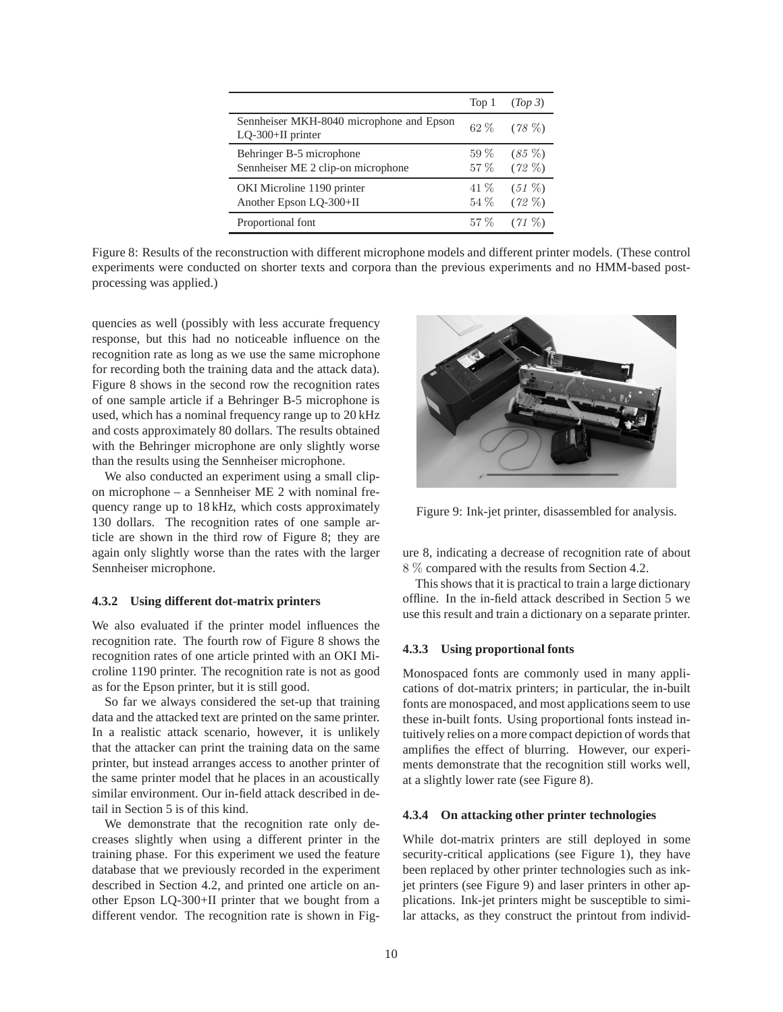|                                                                | Top 1          | (Top 3)              |
|----------------------------------------------------------------|----------------|----------------------|
| Sennheiser MKH-8040 microphone and Epson<br>LQ-300+II printer  |                | $62\%$ $(78\%)$      |
| Behringer B-5 microphone<br>Sennheiser ME 2 clip-on microphone | $59\%$<br>57 % | $(85\%)$<br>$(72\%)$ |
| OKI Microline 1190 printer<br>Another Epson LQ-300+II          | 41 %<br>54 %   | $(51\%)$<br>$(72\%)$ |
| Proportional font                                              | $57\%$         | $(71\%)$             |

Figure 8: Results of the reconstruction with different microphone models and different printer models. (These control experiments were conducted on shorter texts and corpora than the previous experiments and no HMM-based postprocessing was applied.)

quencies as well (possibly with less accurate frequency response, but this had no noticeable influence on the recognition rate as long as we use the same microphone for recording both the training data and the attack data). Figure 8 shows in the second row the recognition rates of one sample article if a Behringer B-5 microphone is used, which has a nominal frequency range up to 20 kHz and costs approximately 80 dollars. The results obtained with the Behringer microphone are only slightly worse than the results using the Sennheiser microphone.

We also conducted an experiment using a small clipon microphone – a Sennheiser ME 2 with nominal frequency range up to 18 kHz, which costs approximately 130 dollars. The recognition rates of one sample article are shown in the third row of Figure 8; they are again only slightly worse than the rates with the larger Sennheiser microphone.

#### **4.3.2 Using different dot-matrix printers**

We also evaluated if the printer model influences the recognition rate. The fourth row of Figure 8 shows the recognition rates of one article printed with an OKI Microline 1190 printer. The recognition rate is not as good as for the Epson printer, but it is still good.

So far we always considered the set-up that training data and the attacked text are printed on the same printer. In a realistic attack scenario, however, it is unlikely that the attacker can print the training data on the same printer, but instead arranges access to another printer of the same printer model that he places in an acoustically similar environment. Our in-field attack described in detail in Section 5 is of this kind.

We demonstrate that the recognition rate only decreases slightly when using a different printer in the training phase. For this experiment we used the feature database that we previously recorded in the experiment described in Section 4.2, and printed one article on another Epson LQ-300+II printer that we bought from a different vendor. The recognition rate is shown in Fig-



Figure 9: Ink-jet printer, disassembled for analysis.

ure 8, indicating a decrease of recognition rate of about 8 % compared with the results from Section 4.2.

This shows that it is practical to train a large dictionary offline. In the in-field attack described in Section 5 we use this result and train a dictionary on a separate printer.

#### **4.3.3 Using proportional fonts**

Monospaced fonts are commonly used in many applications of dot-matrix printers; in particular, the in-built fonts are monospaced, and most applications seem to use these in-built fonts. Using proportional fonts instead intuitively relies on a more compact depiction of words that amplifies the effect of blurring. However, our experiments demonstrate that the recognition still works well, at a slightly lower rate (see Figure 8).

### **4.3.4 On attacking other printer technologies**

While dot-matrix printers are still deployed in some security-critical applications (see Figure 1), they have been replaced by other printer technologies such as inkjet printers (see Figure 9) and laser printers in other applications. Ink-jet printers might be susceptible to similar attacks, as they construct the printout from individ-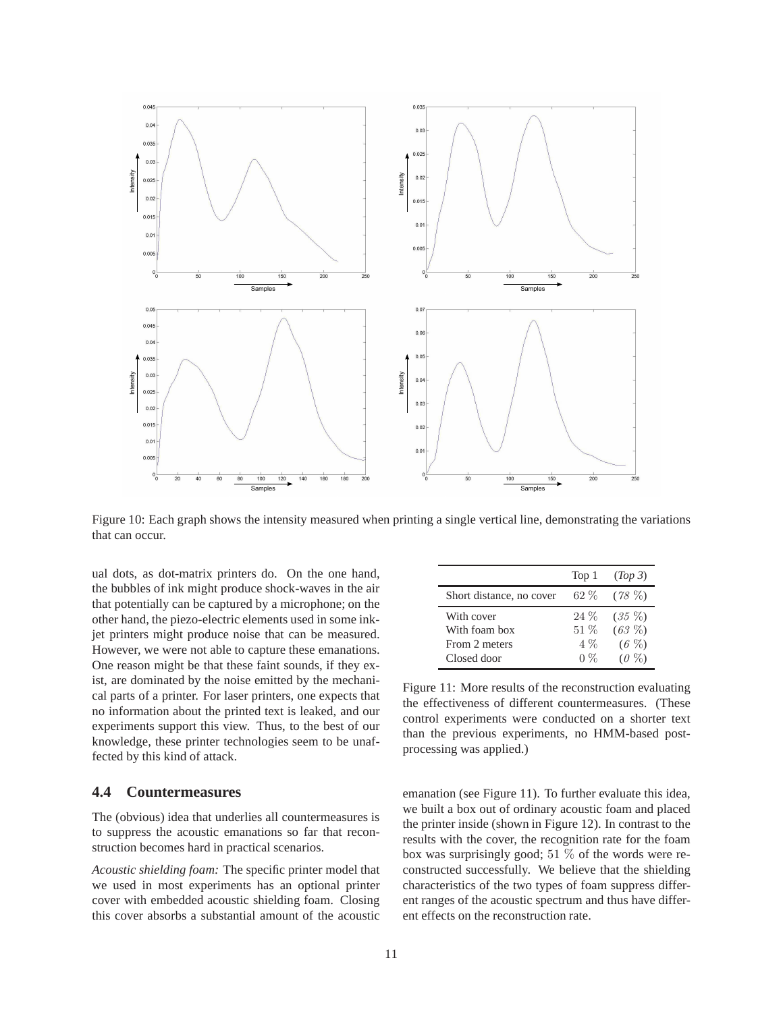

Figure 10: Each graph shows the intensity measured when printing a single vertical line, demonstrating the variations that can occur.

ual dots, as dot-matrix printers do. On the one hand, the bubbles of ink might produce shock-waves in the air that potentially can be captured by a microphone; on the other hand, the piezo-electric elements used in some inkjet printers might produce noise that can be measured. However, we were not able to capture these emanations. One reason might be that these faint sounds, if they exist, are dominated by the noise emitted by the mechanical parts of a printer. For laser printers, one expects that no information about the printed text is leaked, and our experiments support this view. Thus, to the best of our knowledge, these printer technologies seem to be unaffected by this kind of attack.

### **4.4 Countermeasures**

The (obvious) idea that underlies all countermeasures is to suppress the acoustic emanations so far that reconstruction becomes hard in practical scenarios.

*Acoustic shielding foam:* The specific printer model that we used in most experiments has an optional printer cover with embedded acoustic shielding foam. Closing this cover absorbs a substantial amount of the acoustic

|                          | Top 1  | (Top 3)  |
|--------------------------|--------|----------|
| Short distance, no cover | $62\%$ | $(78\%)$ |
| With cover               | $24\%$ | $(35\%)$ |
| With foam box            | $51\%$ | $(63\%)$ |
| From 2 meters            | $4\%$  | $(6 \%)$ |
| Closed door              | $0\%$  | $(0\%)$  |

Figure 11: More results of the reconstruction evaluating the effectiveness of different countermeasures. (These control experiments were conducted on a shorter text than the previous experiments, no HMM-based postprocessing was applied.)

emanation (see Figure 11). To further evaluate this idea, we built a box out of ordinary acoustic foam and placed the printer inside (shown in Figure 12). In contrast to the results with the cover, the recognition rate for the foam box was surprisingly good; 51  $\%$  of the words were reconstructed successfully. We believe that the shielding characteristics of the two types of foam suppress different ranges of the acoustic spectrum and thus have different effects on the reconstruction rate.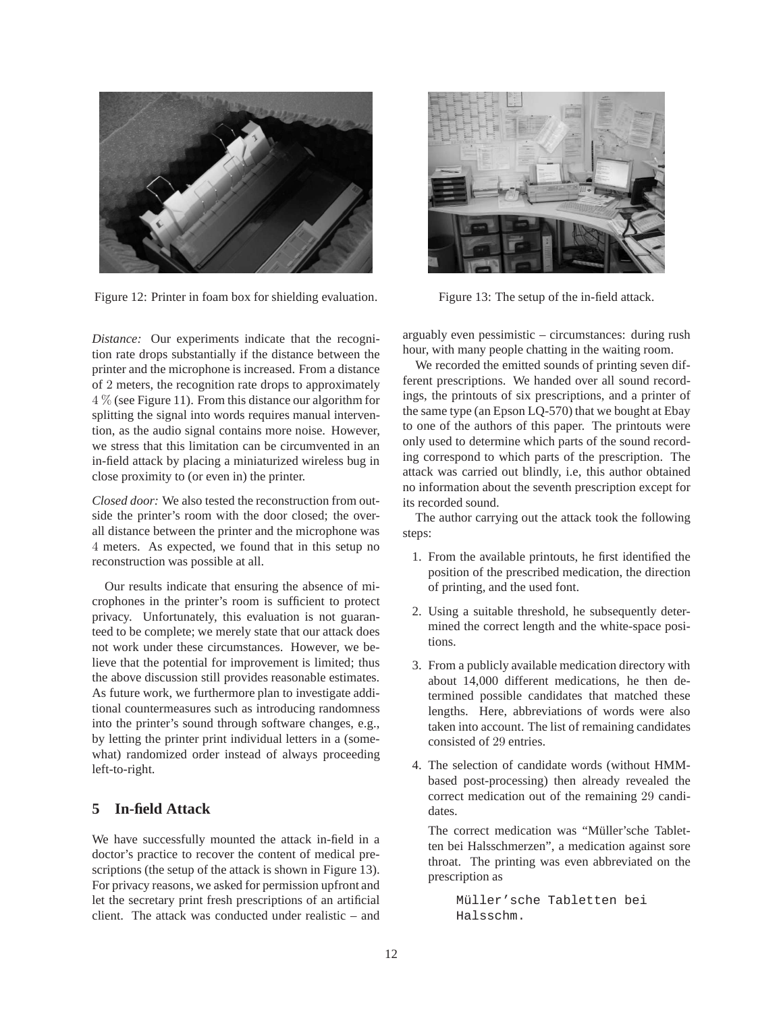

Figure 12: Printer in foam box for shielding evaluation.

*Distance:* Our experiments indicate that the recognition rate drops substantially if the distance between the printer and the microphone is increased. From a distance of 2 meters, the recognition rate drops to approximately 4 % (see Figure 11). From this distance our algorithm for splitting the signal into words requires manual intervention, as the audio signal contains more noise. However, we stress that this limitation can be circumvented in an in-field attack by placing a miniaturized wireless bug in close proximity to (or even in) the printer.

*Closed door:* We also tested the reconstruction from outside the printer's room with the door closed; the overall distance between the printer and the microphone was 4 meters. As expected, we found that in this setup no reconstruction was possible at all.

Our results indicate that ensuring the absence of microphones in the printer's room is sufficient to protect privacy. Unfortunately, this evaluation is not guaranteed to be complete; we merely state that our attack does not work under these circumstances. However, we believe that the potential for improvement is limited; thus the above discussion still provides reasonable estimates. As future work, we furthermore plan to investigate additional countermeasures such as introducing randomness into the printer's sound through software changes, e.g., by letting the printer print individual letters in a (somewhat) randomized order instead of always proceeding left-to-right.

## **5 In-field Attack**

We have successfully mounted the attack in-field in a doctor's practice to recover the content of medical prescriptions (the setup of the attack is shown in Figure 13). For privacy reasons, we asked for permission upfront and let the secretary print fresh prescriptions of an artificial client. The attack was conducted under realistic – and



Figure 13: The setup of the in-field attack.

arguably even pessimistic – circumstances: during rush hour, with many people chatting in the waiting room.

We recorded the emitted sounds of printing seven different prescriptions. We handed over all sound recordings, the printouts of six prescriptions, and a printer of the same type (an Epson LQ-570) that we bought at Ebay to one of the authors of this paper. The printouts were only used to determine which parts of the sound recording correspond to which parts of the prescription. The attack was carried out blindly, i.e, this author obtained no information about the seventh prescription except for its recorded sound.

The author carrying out the attack took the following steps:

- 1. From the available printouts, he first identified the position of the prescribed medication, the direction of printing, and the used font.
- 2. Using a suitable threshold, he subsequently determined the correct length and the white-space positions.
- 3. From a publicly available medication directory with about 14,000 different medications, he then determined possible candidates that matched these lengths. Here, abbreviations of words were also taken into account. The list of remaining candidates consisted of 29 entries.
- 4. The selection of candidate words (without HMMbased post-processing) then already revealed the correct medication out of the remaining 29 candidates.

The correct medication was "Müller'sche Tabletten bei Halsschmerzen", a medication against sore throat. The printing was even abbreviated on the prescription as

> Müller'sche Tabletten bei Halsschm.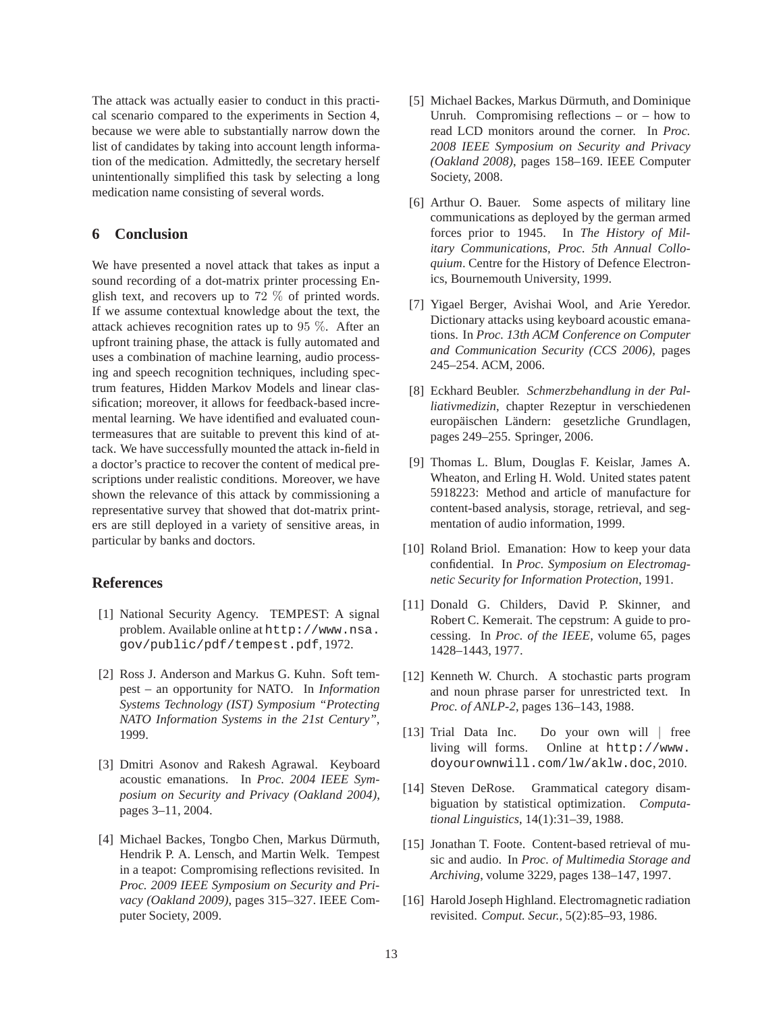The attack was actually easier to conduct in this practical scenario compared to the experiments in Section 4, because we were able to substantially narrow down the list of candidates by taking into account length information of the medication. Admittedly, the secretary herself unintentionally simplified this task by selecting a long medication name consisting of several words.

## **6 Conclusion**

We have presented a novel attack that takes as input a sound recording of a dot-matrix printer processing English text, and recovers up to 72 % of printed words. If we assume contextual knowledge about the text, the attack achieves recognition rates up to 95 %. After an upfront training phase, the attack is fully automated and uses a combination of machine learning, audio processing and speech recognition techniques, including spectrum features, Hidden Markov Models and linear classification; moreover, it allows for feedback-based incremental learning. We have identified and evaluated countermeasures that are suitable to prevent this kind of attack. We have successfully mounted the attack in-field in a doctor's practice to recover the content of medical prescriptions under realistic conditions. Moreover, we have shown the relevance of this attack by commissioning a representative survey that showed that dot-matrix printers are still deployed in a variety of sensitive areas, in particular by banks and doctors.

## **References**

- [1] National Security Agency. TEMPEST: A signal problem. Available online at http://www.nsa. gov/public/pdf/tempest.pdf, 1972.
- [2] Ross J. Anderson and Markus G. Kuhn. Soft tempest – an opportunity for NATO. In *Information Systems Technology (IST) Symposium "Protecting NATO Information Systems in the 21st Century"*, 1999.
- [3] Dmitri Asonov and Rakesh Agrawal. Keyboard acoustic emanations. In *Proc. 2004 IEEE Symposium on Security and Privacy (Oakland 2004)*, pages 3–11, 2004.
- [4] Michael Backes, Tongbo Chen, Markus Dürmuth, Hendrik P. A. Lensch, and Martin Welk. Tempest in a teapot: Compromising reflections revisited. In *Proc. 2009 IEEE Symposium on Security and Privacy (Oakland 2009)*, pages 315–327. IEEE Computer Society, 2009.
- [5] Michael Backes, Markus Dürmuth, and Dominique Unruh. Compromising reflections – or – how to read LCD monitors around the corner. In *Proc. 2008 IEEE Symposium on Security and Privacy (Oakland 2008)*, pages 158–169. IEEE Computer Society, 2008.
- [6] Arthur O. Bauer. Some aspects of military line communications as deployed by the german armed forces prior to 1945. In *The History of Military Communications, Proc. 5th Annual Colloquium*. Centre for the History of Defence Electronics, Bournemouth University, 1999.
- [7] Yigael Berger, Avishai Wool, and Arie Yeredor. Dictionary attacks using keyboard acoustic emanations. In *Proc. 13th ACM Conference on Computer and Communication Security (CCS 2006)*, pages 245–254. ACM, 2006.
- [8] Eckhard Beubler. *Schmerzbehandlung in der Palliativmedizin*, chapter Rezeptur in verschiedenen europäischen Ländern: gesetzliche Grundlagen, pages 249–255. Springer, 2006.
- [9] Thomas L. Blum, Douglas F. Keislar, James A. Wheaton, and Erling H. Wold. United states patent 5918223: Method and article of manufacture for content-based analysis, storage, retrieval, and segmentation of audio information, 1999.
- [10] Roland Briol. Emanation: How to keep your data confidential. In *Proc. Symposium on Electromagnetic Security for Information Protection*, 1991.
- [11] Donald G. Childers, David P. Skinner, and Robert C. Kemerait. The cepstrum: A guide to processing. In *Proc. of the IEEE*, volume 65, pages 1428–1443, 1977.
- [12] Kenneth W. Church. A stochastic parts program and noun phrase parser for unrestricted text. In *Proc. of ANLP-2*, pages 136–143, 1988.
- [13] Trial Data Inc. Do your own will | free living will forms. Online at http://www. doyourownwill.com/lw/aklw.doc, 2010.
- [14] Steven DeRose. Grammatical category disambiguation by statistical optimization. *Computational Linguistics*, 14(1):31–39, 1988.
- [15] Jonathan T. Foote. Content-based retrieval of music and audio. In *Proc. of Multimedia Storage and Archiving*, volume 3229, pages 138–147, 1997.
- [16] Harold Joseph Highland. Electromagnetic radiation revisited. *Comput. Secur.*, 5(2):85–93, 1986.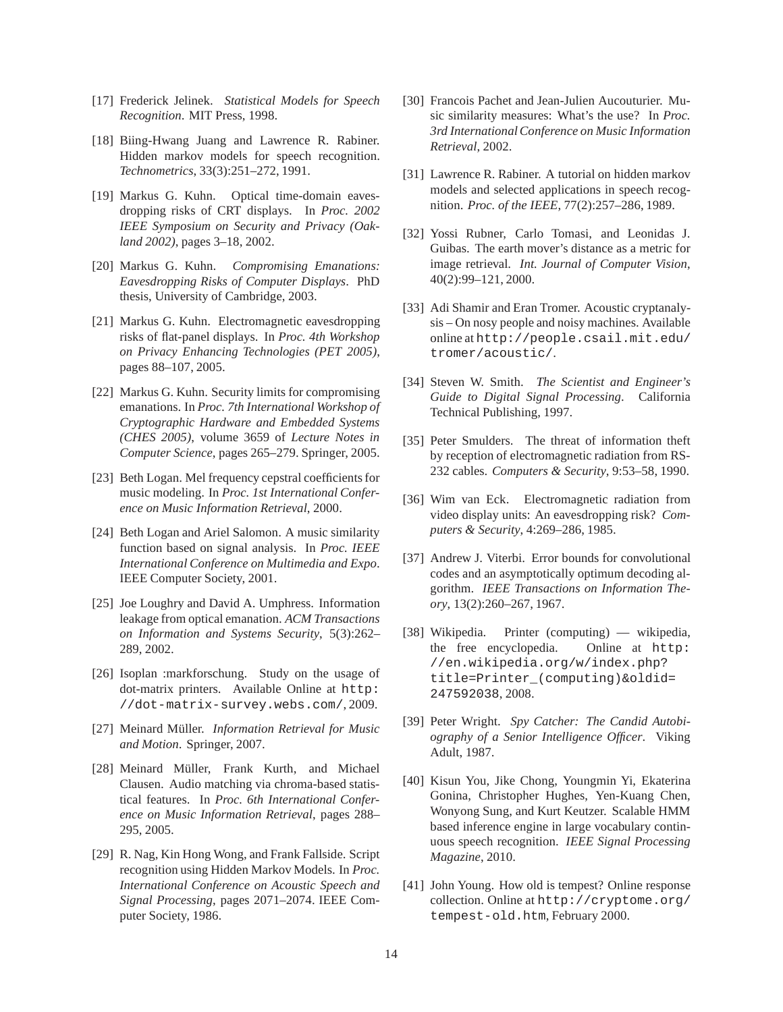- [17] Frederick Jelinek. *Statistical Models for Speech Recognition*. MIT Press, 1998.
- [18] Biing-Hwang Juang and Lawrence R. Rabiner. Hidden markov models for speech recognition. *Technometrics*, 33(3):251–272, 1991.
- [19] Markus G. Kuhn. Optical time-domain eavesdropping risks of CRT displays. In *Proc. 2002 IEEE Symposium on Security and Privacy (Oakland 2002)*, pages 3–18, 2002.
- [20] Markus G. Kuhn. *Compromising Emanations: Eavesdropping Risks of Computer Displays*. PhD thesis, University of Cambridge, 2003.
- [21] Markus G. Kuhn. Electromagnetic eavesdropping risks of flat-panel displays. In *Proc. 4th Workshop on Privacy Enhancing Technologies (PET 2005)*, pages 88–107, 2005.
- [22] Markus G. Kuhn. Security limits for compromising emanations. In *Proc. 7th International Workshop of Cryptographic Hardware and Embedded Systems (CHES 2005)*, volume 3659 of *Lecture Notes in Computer Science*, pages 265–279. Springer, 2005.
- [23] Beth Logan. Mel frequency cepstral coefficients for music modeling. In *Proc. 1st International Conference on Music Information Retrieval*, 2000.
- [24] Beth Logan and Ariel Salomon. A music similarity function based on signal analysis. In *Proc. IEEE International Conference on Multimedia and Expo*. IEEE Computer Society, 2001.
- [25] Joe Loughry and David A. Umphress. Information leakage from optical emanation. *ACM Transactions on Information and Systems Security*, 5(3):262– 289, 2002.
- [26] Isoplan :markforschung. Study on the usage of dot-matrix printers. Available Online at http: //dot-matrix-survey.webs.com/, 2009.
- [27] Meinard Müller. *Information Retrieval for Music and Motion*. Springer, 2007.
- [28] Meinard Müller, Frank Kurth, and Michael Clausen. Audio matching via chroma-based statistical features. In *Proc. 6th International Conference on Music Information Retrieval*, pages 288– 295, 2005.
- [29] R. Nag, Kin Hong Wong, and Frank Fallside. Script recognition using Hidden Markov Models. In *Proc. International Conference on Acoustic Speech and Signal Processing*, pages 2071–2074. IEEE Computer Society, 1986.
- [30] Francois Pachet and Jean-Julien Aucouturier. Music similarity measures: What's the use? In *Proc. 3rd International Conference on Music Information Retrieval*, 2002.
- [31] Lawrence R. Rabiner. A tutorial on hidden markov models and selected applications in speech recognition. *Proc. of the IEEE*, 77(2):257–286, 1989.
- [32] Yossi Rubner, Carlo Tomasi, and Leonidas J. Guibas. The earth mover's distance as a metric for image retrieval. *Int. Journal of Computer Vision*, 40(2):99–121, 2000.
- [33] Adi Shamir and Eran Tromer. Acoustic cryptanalysis – On nosy people and noisy machines. Available online at http://people.csail.mit.edu/ tromer/acoustic/.
- [34] Steven W. Smith. *The Scientist and Engineer's Guide to Digital Signal Processing*. California Technical Publishing, 1997.
- [35] Peter Smulders. The threat of information theft by reception of electromagnetic radiation from RS-232 cables. *Computers & Security*, 9:53–58, 1990.
- [36] Wim van Eck. Electromagnetic radiation from video display units: An eavesdropping risk? *Computers & Security*, 4:269–286, 1985.
- [37] Andrew J. Viterbi. Error bounds for convolutional codes and an asymptotically optimum decoding algorithm. *IEEE Transactions on Information Theory*, 13(2):260–267, 1967.
- [38] Wikipedia. Printer (computing) wikipedia, the free encyclopedia. Online at http: //en.wikipedia.org/w/index.php? title=Printer\_(computing)&oldid= 247592038, 2008.
- [39] Peter Wright. *Spy Catcher: The Candid Autobiography of a Senior Intelligence Officer*. Viking Adult, 1987.
- [40] Kisun You, Jike Chong, Youngmin Yi, Ekaterina Gonina, Christopher Hughes, Yen-Kuang Chen, Wonyong Sung, and Kurt Keutzer. Scalable HMM based inference engine in large vocabulary continuous speech recognition. *IEEE Signal Processing Magazine*, 2010.
- [41] John Young. How old is tempest? Online response collection. Online at http://cryptome.org/ tempest-old.htm, February 2000.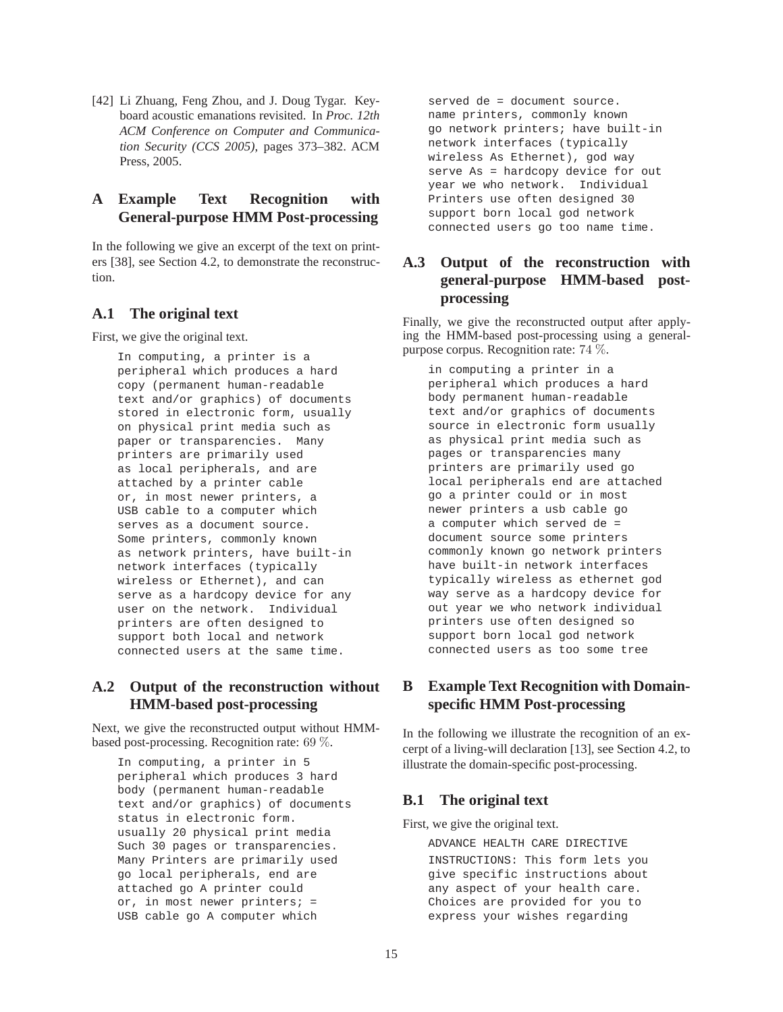[42] Li Zhuang, Feng Zhou, and J. Doug Tygar. Keyboard acoustic emanations revisited. In *Proc. 12th ACM Conference on Computer and Communication Security (CCS 2005)*, pages 373–382. ACM Press, 2005.

# **A Example Text Recognition with General-purpose HMM Post-processing**

In the following we give an excerpt of the text on printers [38], see Section 4.2, to demonstrate the reconstruction.

### **A.1 The original text**

First, we give the original text.

In computing, a printer is a peripheral which produces a hard copy (permanent human-readable text and/or graphics) of documents stored in electronic form, usually on physical print media such as paper or transparencies. Many printers are primarily used as local peripherals, and are attached by a printer cable or, in most newer printers, a USB cable to a computer which serves as a document source. Some printers, commonly known as network printers, have built-in network interfaces (typically wireless or Ethernet), and can serve as a hardcopy device for any user on the network. Individual printers are often designed to support both local and network connected users at the same time.

## **A.2 Output of the reconstruction without HMM-based post-processing**

Next, we give the reconstructed output without HMMbased post-processing. Recognition rate: 69 %.

In computing, a printer in 5 peripheral which produces 3 hard body (permanent human-readable text and/or graphics) of documents status in electronic form. usually 20 physical print media Such 30 pages or transparencies. Many Printers are primarily used go local peripherals, end are attached go A printer could or, in most newer printers; = USB cable go A computer which

served de = document source. name printers, commonly known go network printers; have built-in network interfaces (typically wireless As Ethernet), god way serve As = hardcopy device for out year we who network. Individual Printers use often designed 30 support born local god network connected users go too name time.

# **A.3 Output of the reconstruction with general-purpose HMM-based postprocessing**

Finally, we give the reconstructed output after applying the HMM-based post-processing using a generalpurpose corpus. Recognition rate: 74 %.

in computing a printer in a peripheral which produces a hard body permanent human-readable text and/or graphics of documents source in electronic form usually as physical print media such as pages or transparencies many printers are primarily used go local peripherals end are attached go a printer could or in most newer printers a usb cable go a computer which served de = document source some printers commonly known go network printers have built-in network interfaces typically wireless as ethernet god way serve as a hardcopy device for out year we who network individual printers use often designed so support born local god network connected users as too some tree

# **B Example Text Recognition with Domainspecific HMM Post-processing**

In the following we illustrate the recognition of an excerpt of a living-will declaration [13], see Section 4.2, to illustrate the domain-specific post-processing.

## **B.1 The original text**

First, we give the original text.

ADVANCE HEALTH CARE DIRECTIVE INSTRUCTIONS: This form lets you give specific instructions about any aspect of your health care. Choices are provided for you to express your wishes regarding